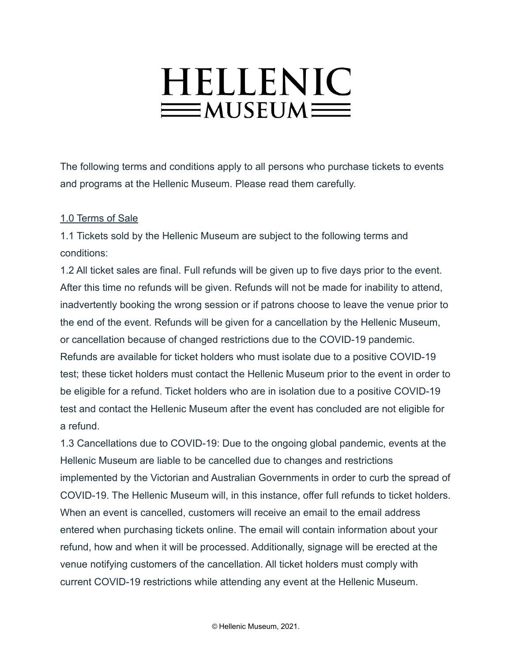# HELLENIC  $\equiv$ MUSEUM $\equiv$

The following terms and conditions apply to all persons who purchase tickets to events and programs at the Hellenic Museum. Please read them carefully.

# 1.0 Terms of Sale

1.1 Tickets sold by the Hellenic Museum are subject to the following terms and conditions:

1.2 All ticket sales are final. Full refunds will be given up to five days prior to the event. After this time no refunds will be given. Refunds will not be made for inability to attend, inadvertently booking the wrong session or if patrons choose to leave the venue prior to the end of the event. Refunds will be given for a cancellation by the Hellenic Museum, or cancellation because of changed restrictions due to the COVID-19 pandemic. Refunds are available for ticket holders who must isolate due to a positive COVID-19 test; these ticket holders must contact the Hellenic Museum prior to the event in order to be eligible for a refund. Ticket holders who are in isolation due to a positive COVID-19 test and contact the Hellenic Museum after the event has concluded are not eligible for a refund.

1.3 Cancellations due to COVID-19: Due to the ongoing global pandemic, events at the Hellenic Museum are liable to be cancelled due to changes and restrictions implemented by the Victorian and Australian Governments in order to curb the spread of COVID-19. The Hellenic Museum will, in this instance, offer full refunds to ticket holders. When an event is cancelled, customers will receive an email to the email address entered when purchasing tickets online. The email will contain information about your refund, how and when it will be processed. Additionally, signage will be erected at the venue notifying customers of the cancellation. All ticket holders must comply with current COVID-19 restrictions while attending any event at the Hellenic Museum.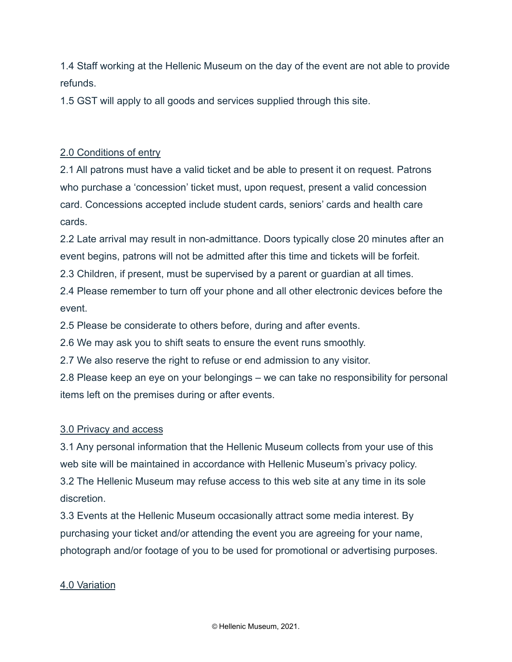1.4 Staff working at the Hellenic Museum on the day of the event are not able to provide refunds.

1.5 GST will apply to all goods and services supplied through this site.

# 2.0 Conditions of entry

2.1 All patrons must have a valid ticket and be able to present it on request. Patrons who purchase a 'concession' ticket must, upon request, present a valid concession card. Concessions accepted include student cards, seniors' cards and health care cards.

2.2 Late arrival may result in non-admittance. Doors typically close 20 minutes after an event begins, patrons will not be admitted after this time and tickets will be forfeit. 2.3 Children, if present, must be supervised by a parent or guardian at all times.

2.4 Please remember to turn off your phone and all other electronic devices before the event.

2.5 Please be considerate to others before, during and after events.

2.6 We may ask you to shift seats to ensure the event runs smoothly.

2.7 We also reserve the right to refuse or end admission to any visitor.

2.8 Please keep an eye on your belongings – we can take no responsibility for personal items left on the premises during or after events.

# 3.0 Privacy and access

3.1 Any personal information that the Hellenic Museum collects from your use of this web site will be maintained in accordance with Hellenic Museum's privacy policy. 3.2 The Hellenic Museum may refuse access to this web site at any time in its sole discretion.

3.3 Events at the Hellenic Museum occasionally attract some media interest. By purchasing your ticket and/or attending the event you are agreeing for your name, photograph and/or footage of you to be used for promotional or advertising purposes.

# 4.0 Variation